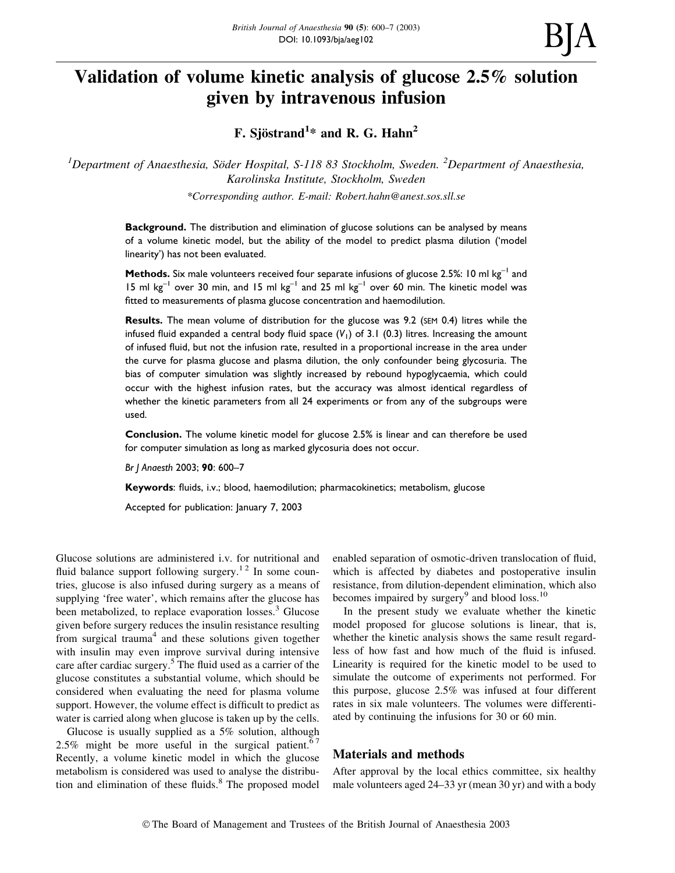# Validation of volume kinetic analysis of glucose 2.5% solution given by intravenous infusion

F. Sjöstrand $^{1*}$  and R. G. Hahn $^{2}$ 

<sup>1</sup>Department of Anaesthesia, Söder Hospital, S-118 83 Stockholm, Sweden. <sup>2</sup>Department of Anaesthesia, Karolinska Institute, Stockholm, Sweden

\*Corresponding author. E-mail: Robert.hahn@anest.sos.sll.se

**Background.** The distribution and elimination of glucose solutions can be analysed by means of a volume kinetic model, but the ability of the model to predict plasma dilution ('model linearity') has not been evaluated.

Methods. Six male volunteers received four separate infusions of glucose 2.5%: 10 ml  $kg^{-1}$  and 15 ml  $kg^{-1}$  over 30 min, and 15 ml  $kg^{-1}$  and 25 ml  $kg^{-1}$  over 60 min. The kinetic model was fitted to measurements of plasma glucose concentration and haemodilution.

Results. The mean volume of distribution for the glucose was 9.2 (SEM 0.4) litres while the infused fluid expanded a central body fluid space  $(V_1)$  of 3.1 (0.3) litres. Increasing the amount of infused fluid, but not the infusion rate, resulted in a proportional increase in the area under the curve for plasma glucose and plasma dilution, the only confounder being glycosuria. The bias of computer simulation was slightly increased by rebound hypoglycaemia, which could occur with the highest infusion rates, but the accuracy was almost identical regardless of whether the kinetic parameters from all 24 experiments or from any of the subgroups were used.

Conclusion. The volume kinetic model for glucose 2.5% is linear and can therefore be used for computer simulation as long as marked glycosuria does not occur.

Br J Anaesth 2003; 90: 600-7

Keywords: fluids, i.v.; blood, haemodilution; pharmacokinetics; metabolism, glucose

Accepted for publication: January 7, 2003

Glucose solutions are administered i.v. for nutritional and fluid balance support following surgery.<sup>12</sup> In some countries, glucose is also infused during surgery as a means of supplying 'free water', which remains after the glucose has been metabolized, to replace evaporation losses.<sup>3</sup> Glucose given before surgery reduces the insulin resistance resulting from surgical trauma<sup>4</sup> and these solutions given together with insulin may even improve survival during intensive care after cardiac surgery.<sup>5</sup> The fluid used as a carrier of the glucose constitutes a substantial volume, which should be considered when evaluating the need for plasma volume support. However, the volume effect is difficult to predict as water is carried along when glucose is taken up by the cells.

Glucose is usually supplied as a 5% solution, although 2.5% might be more useful in the surgical patient.<sup>67</sup> Recently, a volume kinetic model in which the glucose metabolism is considered was used to analyse the distribution and elimination of these fluids. $8$  The proposed model

enabled separation of osmotic-driven translocation of fluid, which is affected by diabetes and postoperative insulin resistance, from dilution-dependent elimination, which also becomes impaired by surgery $9$  and blood loss.<sup>10</sup>

In the present study we evaluate whether the kinetic model proposed for glucose solutions is linear, that is, whether the kinetic analysis shows the same result regardless of how fast and how much of the fluid is infused. Linearity is required for the kinetic model to be used to simulate the outcome of experiments not performed. For this purpose, glucose 2.5% was infused at four different rates in six male volunteers. The volumes were differentiated by continuing the infusions for 30 or 60 min.

### Materials and methods

After approval by the local ethics committee, six healthy male volunteers aged  $24-33$  yr (mean 30 yr) and with a body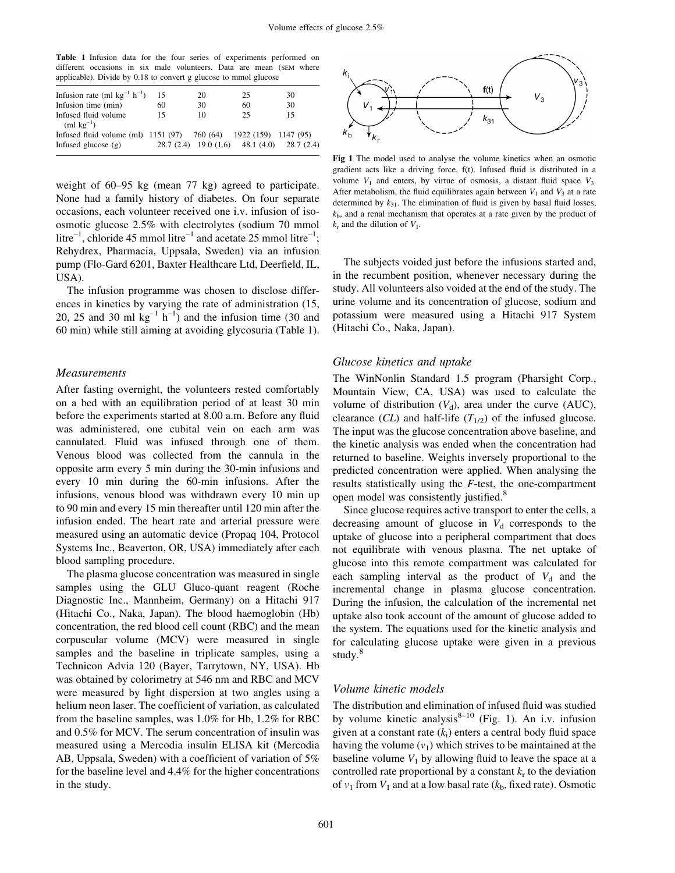Table 1 Infusion data for the four series of experiments performed on different occasions in six male volunteers. Data are mean (SEM where applicable). Divide by 0.18 to convert g glucose to mmol glucose

| Infusion rate (ml $kg^{-1} h^{-1}$ )                              | 15 | 20 | 25                                          | 30 |
|-------------------------------------------------------------------|----|----|---------------------------------------------|----|
| Infusion time (min)                                               | 60 | 30 | 60                                          | 30 |
| Infused fluid volume<br>$(ml \text{ kg}^{-1})$                    | 15 | 10 | 25                                          | 15 |
| Infused fluid volume (ml) 1151 (97) 760 (64) 1922 (159) 1147 (95) |    |    |                                             |    |
| Infused glucose $(g)$                                             |    |    | 28.7 (2.4) 19.0 (1.6) 48.1 (4.0) 28.7 (2.4) |    |

weight of  $60-95$  kg (mean 77 kg) agreed to participate. None had a family history of diabetes. On four separate occasions, each volunteer received one i.v. infusion of isoosmotic glucose 2.5% with electrolytes (sodium 70 mmol litre<sup>-1</sup>, chloride 45 mmol litre<sup>-1</sup> and acetate 25 mmol litre<sup>-1</sup>; Rehydrex, Pharmacia, Uppsala, Sweden) via an infusion pump (Flo-Gard 6201, Baxter Healthcare Ltd, Deerfield, IL, USA).

The infusion programme was chosen to disclose differences in kinetics by varying the rate of administration (15, 20, 25 and 30 ml  $kg^{-1} h^{-1}$ ) and the infusion time (30 and 60 min) while still aiming at avoiding glycosuria (Table 1).

### Measurements

After fasting overnight, the volunteers rested comfortably on a bed with an equilibration period of at least 30 min before the experiments started at 8.00 a.m. Before any fluid was administered, one cubital vein on each arm was cannulated. Fluid was infused through one of them. Venous blood was collected from the cannula in the opposite arm every 5 min during the 30-min infusions and every 10 min during the 60-min infusions. After the infusions, venous blood was withdrawn every 10 min up to 90 min and every 15 min thereafter until 120 min after the infusion ended. The heart rate and arterial pressure were measured using an automatic device (Propaq 104, Protocol Systems Inc., Beaverton, OR, USA) immediately after each blood sampling procedure.

The plasma glucose concentration was measured in single samples using the GLU Gluco-quant reagent (Roche Diagnostic Inc., Mannheim, Germany) on a Hitachi 917 (Hitachi Co., Naka, Japan). The blood haemoglobin (Hb) concentration, the red blood cell count (RBC) and the mean corpuscular volume (MCV) were measured in single samples and the baseline in triplicate samples, using a Technicon Advia 120 (Bayer, Tarrytown, NY, USA). Hb was obtained by colorimetry at 546 nm and RBC and MCV were measured by light dispersion at two angles using a helium neon laser. The coefficient of variation, as calculated from the baseline samples, was 1.0% for Hb, 1.2% for RBC and 0.5% for MCV. The serum concentration of insulin was measured using a Mercodia insulin ELISA kit (Mercodia AB, Uppsala, Sweden) with a coefficient of variation of  $5\%$ for the baseline level and 4.4% for the higher concentrations in the study.



Fig 1 The model used to analyse the volume kinetics when an osmotic gradient acts like a driving force, f(t). Infused fluid is distributed in a volume  $V_1$  and enters, by virtue of osmosis, a distant fluid space  $V_3$ . After metabolism, the fluid equilibrates again between  $V_1$  and  $V_3$  at a rate determined by  $k_{31}$ . The elimination of fluid is given by basal fluid losses,  $k<sub>b</sub>$ , and a renal mechanism that operates at a rate given by the product of  $k_r$  and the dilution of  $V_1$ .

The subjects voided just before the infusions started and, in the recumbent position, whenever necessary during the study. All volunteers also voided at the end of the study. The urine volume and its concentration of glucose, sodium and potassium were measured using a Hitachi 917 System (Hitachi Co., Naka, Japan).

### Glucose kinetics and uptake

The WinNonlin Standard 1.5 program (Pharsight Corp., Mountain View, CA, USA) was used to calculate the volume of distribution  $(V_d)$ , area under the curve (AUC), clearance (CL) and half-life  $(T_{1/2})$  of the infused glucose. The input was the glucose concentration above baseline, and the kinetic analysis was ended when the concentration had returned to baseline. Weights inversely proportional to the predicted concentration were applied. When analysing the results statistically using the  $F$ -test, the one-compartment open model was consistently justified.<sup>8</sup>

Since glucose requires active transport to enter the cells, a decreasing amount of glucose in  $V_d$  corresponds to the uptake of glucose into a peripheral compartment that does not equilibrate with venous plasma. The net uptake of glucose into this remote compartment was calculated for each sampling interval as the product of  $V<sub>d</sub>$  and the incremental change in plasma glucose concentration. During the infusion, the calculation of the incremental net uptake also took account of the amount of glucose added to the system. The equations used for the kinetic analysis and for calculating glucose uptake were given in a previous study.<sup>8</sup>

#### Volume kinetic models

The distribution and elimination of infused fluid was studied by volume kinetic analysis $8-10$  (Fig. 1). An i.v. infusion given at a constant rate  $(k<sub>i</sub>)$  enters a central body fluid space having the volume  $(v_1)$  which strives to be maintained at the baseline volume  $V_1$  by allowing fluid to leave the space at a controlled rate proportional by a constant  $k_r$  to the deviation of  $v_1$  from  $V_1$  and at a low basal rate ( $k_b$ , fixed rate). Osmotic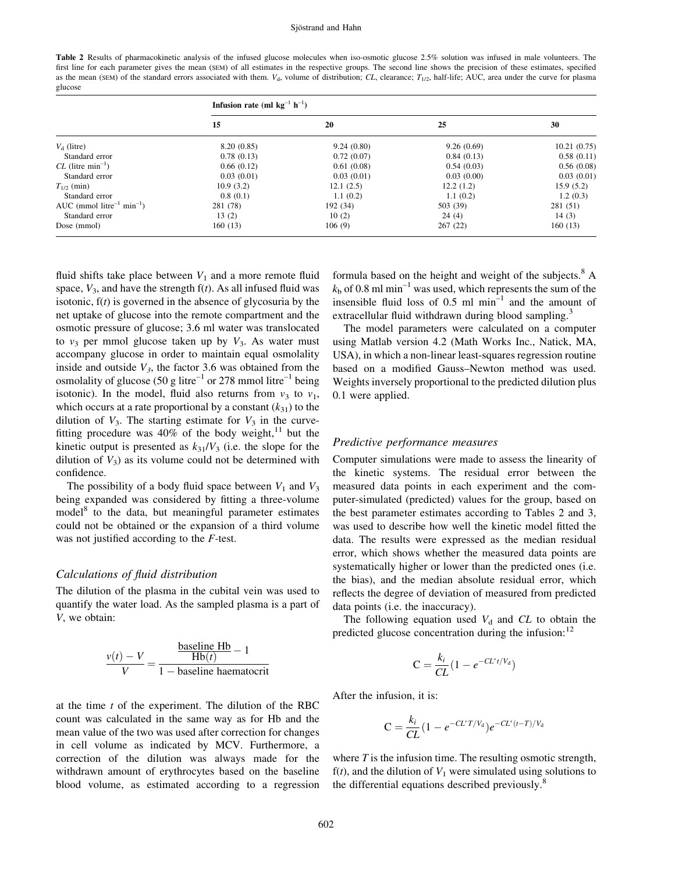#### Sjöstrand and Hahn

Table 2 Results of pharmacokinetic analysis of the infused glucose molecules when iso-osmotic glucose 2.5% solution was infused in male volunteers. The first line for each parameter gives the mean (SEM) of all estimates in the respective groups. The second line shows the precision of these estimates, specified as the mean (SEM) of the standard errors associated with them.  $V_d$ , volume of distribution; CL, clearance;  $T_{1/2}$ , half-life; AUC, area under the curve for plasma glucose

|                                                   | Infusion rate (ml $kg^{-1} h^{-1}$ ) |            |            |             |
|---------------------------------------------------|--------------------------------------|------------|------------|-------------|
|                                                   | 15                                   | 20         | 25         | 30          |
| $V_{\rm d}$ (litre)                               | 8.20(0.85)                           | 9.24(0.80) | 9.26(0.69) | 10.21(0.75) |
| Standard error                                    | 0.78(0.13)                           | 0.72(0.07) | 0.84(0.13) | 0.58(0.11)  |
| $CL$ (litre min <sup>-1</sup> )                   | 0.66(0.12)                           | 0.61(0.08) | 0.54(0.03) | 0.56(0.08)  |
| Standard error                                    | 0.03(0.01)                           | 0.03(0.01) | 0.03(0.00) | 0.03(0.01)  |
| $T_{1/2}$ (min)                                   | 10.9(3.2)                            | 12.1(2.5)  | 12.2(1.2)  | 15.9(5.2)   |
| Standard error                                    | 0.8(0.1)                             | 1.1(0.2)   | 1.1(0.2)   | 1.2(0.3)    |
| AUC (mmol litre <sup>-1</sup> min <sup>-1</sup> ) | 281 (78)                             | 192 (34)   | 503 (39)   | 281 (51)    |
| Standard error                                    | 13(2)                                | 10(2)      | 24(4)      | 14(3)       |
| Dose (mmol)                                       | 160(13)                              | 106(9)     | 267(22)    | 160(13)     |

fluid shifts take place between  $V_1$  and a more remote fluid space,  $V_3$ , and have the strength  $f(t)$ . As all infused fluid was isotonic,  $f(t)$  is governed in the absence of glycosuria by the net uptake of glucose into the remote compartment and the osmotic pressure of glucose; 3.6 ml water was translocated to  $v_3$  per mmol glucose taken up by  $V_3$ . As water must accompany glucose in order to maintain equal osmolality inside and outside  $V_3$ , the factor 3.6 was obtained from the osmolality of glucose (50 g litre<sup>-1</sup> or 278 mmol litre<sup>-1</sup> being isotonic). In the model, fluid also returns from  $v_3$  to  $v_1$ , which occurs at a rate proportional by a constant  $(k_{31})$  to the dilution of  $V_3$ . The starting estimate for  $V_3$  in the curvefitting procedure was  $40\%$  of the body weight,<sup>11</sup> but the kinetic output is presented as  $k_{31}/V_3$  (i.e. the slope for the dilution of  $V_3$ ) as its volume could not be determined with confidence.

The possibility of a body fluid space between  $V_1$  and  $V_3$ being expanded was considered by fitting a three-volume model<sup>8</sup> to the data, but meaningful parameter estimates could not be obtained or the expansion of a third volume was not justified according to the  $F$ -test.

### Calculations of fluid distribution

The dilution of the plasma in the cubital vein was used to quantify the water load. As the sampled plasma is a part of V, we obtain:

$$
\frac{v(t) - V}{V} = \frac{\frac{\text{baseline Hb}}{\text{Hb}(t)} - 1}{1 - \text{baseline haematorit}}
$$

at the time t of the experiment. The dilution of the RBC count was calculated in the same way as for Hb and the mean value of the two was used after correction for changes in cell volume as indicated by MCV. Furthermore, a correction of the dilution was always made for the withdrawn amount of erythrocytes based on the baseline blood volume, as estimated according to a regression

formula based on the height and weight of the subjects.<sup>8</sup> A  $k<sub>b</sub>$  of 0.8 ml min<sup>-1</sup> was used, which represents the sum of the insensible fluid loss of  $0.5$  ml min<sup>-1</sup> and the amount of extracellular fluid withdrawn during blood sampling.<sup>3</sup>

The model parameters were calculated on a computer using Matlab version 4.2 (Math Works Inc., Natick, MA, USA), in which a non-linear least-squares regression routine based on a modified Gauss-Newton method was used. Weights inversely proportional to the predicted dilution plus 0.1 were applied.

### Predictive performance measures

Computer simulations were made to assess the linearity of the kinetic systems. The residual error between the measured data points in each experiment and the computer-simulated (predicted) values for the group, based on the best parameter estimates according to Tables 2 and 3, was used to describe how well the kinetic model fitted the data. The results were expressed as the median residual error, which shows whether the measured data points are systematically higher or lower than the predicted ones (i.e. the bias), and the median absolute residual error, which reflects the degree of deviation of measured from predicted data points (i.e. the inaccuracy).

The following equation used  $V_d$  and CL to obtain the predicted glucose concentration during the infusion:<sup>12</sup>

$$
C = \frac{k_i}{CL} (1 - e^{-CL^*t/V_d})
$$

After the infusion, it is:

$$
C = \frac{k_i}{CL} (1 - e^{-CL^*T/V_d}) e^{-CL^*(t - T)/V_d}
$$

where  $T$  is the infusion time. The resulting osmotic strength,  $f(t)$ , and the dilution of  $V_1$  were simulated using solutions to the differential equations described previously.<sup>8</sup>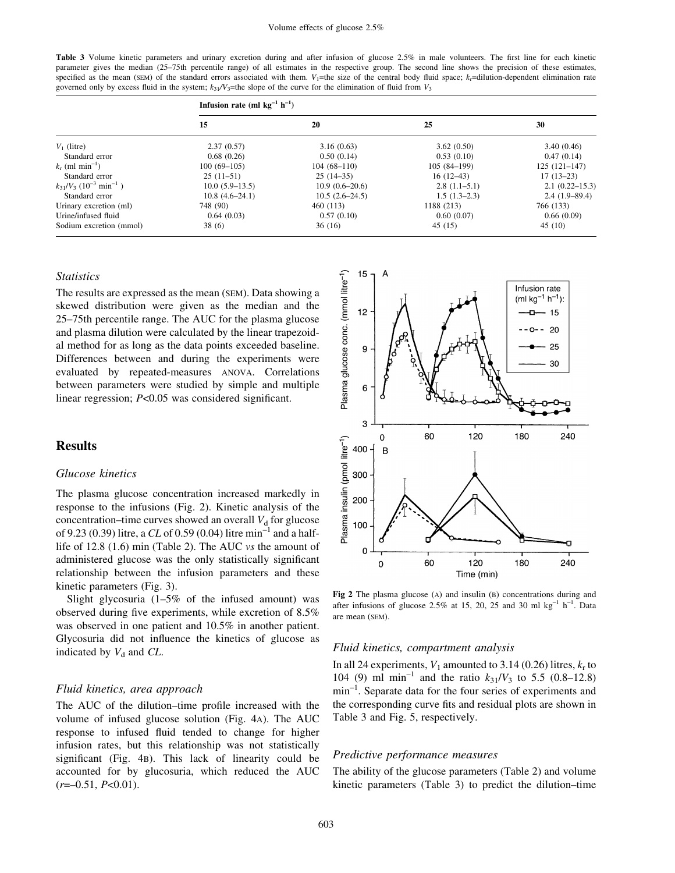Table 3 Volume kinetic parameters and urinary excretion during and after infusion of glucose 2.5% in male volunteers. The first line for each kinetic parameter gives the median (25-75th percentile range) of all estimates in the respective group. The second line shows the precision of these estimates, specified as the mean (SEM) of the standard errors associated with them.  $V_1$ =the size of the central body fluid space;  $k_r$ =dilution-dependent elimination rate governed only by excess fluid in the system;  $k_{31}/V_3$ =the slope of the curve for the elimination of fluid from  $V_3$ 

|                                           | Infusion rate (ml $kg^{-1} h^{-1}$ ) |                  |                |                    |
|-------------------------------------------|--------------------------------------|------------------|----------------|--------------------|
|                                           | 15                                   | 20               | 25             | 30                 |
| $V_1$ (litre)                             | 2.37(0.57)                           | 3.16(0.63)       | 3.62(0.50)     | 3.40(0.46)         |
| Standard error                            | 0.68(0.26)                           | 0.50(0.14)       | 0.53(0.10)     | 0.47(0.14)         |
| $k_r$ (ml min <sup>-1</sup> )             | $100(69-105)$                        | $104(68-110)$    | $105(84-199)$  | $125(121-147)$     |
| Standard error                            | $25(11-51)$                          | $25(14-35)$      | $16(12-43)$    | $17(13-23)$        |
| $k_{31}/V_3$ $(10^{-3} \text{ min}^{-1})$ | $10.0(5.9-13.5)$                     | $10.9(0.6-20.6)$ | $2.8(1.1-5.1)$ | $2.1(0.22 - 15.3)$ |
| Standard error                            | $10.8(4.6-24.1)$                     | $10.5(2.6-24.5)$ | $1.5(1.3-2.3)$ | $2.4(1.9-89.4)$    |
| Urinary excretion (ml)                    | 748 (90)                             | 460 (113)        | 1188 (213)     | 766 (133)          |
| Urine/infused fluid                       | 0.64(0.03)                           | 0.57(0.10)       | 0.60(0.07)     | 0.66(0.09)         |
| Sodium excretion (mmol)                   | 38 (6)                               | 36(16)           | 45(15)         | 45(10)             |

### Statistics

The results are expressed as the mean (SEM). Data showing a skewed distribution were given as the median and the 25–75th percentile range. The AUC for the plasma glucose and plasma dilution were calculated by the linear trapezoidal method for as long as the data points exceeded baseline. Differences between and during the experiments were evaluated by repeated-measures ANOVA. Correlations between parameters were studied by simple and multiple linear regression;  $P<0.05$  was considered significant.

## **Results**

### Glucose kinetics

The plasma glucose concentration increased markedly in response to the infusions (Fig. 2). Kinetic analysis of the concentration-time curves showed an overall  $V<sub>d</sub>$  for glucose of 9.23 (0.39) litre, a CL of 0.59 (0.04) litre min<sup>-1</sup> and a halflife of 12.8 (1.6) min (Table 2). The AUC vs the amount of administered glucose was the only statistically significant relationship between the infusion parameters and these kinetic parameters (Fig. 3).

Slight glycosuria  $(1-5\%$  of the infused amount) was observed during five experiments, while excretion of  $8.5\%$ was observed in one patient and 10.5% in another patient. Glycosuria did not influence the kinetics of glucose as indicated by  $V_d$  and CL.

### Fluid kinetics, area approach

The AUC of the dilution-time profile increased with the volume of infused glucose solution (Fig. 4A). The AUC response to infused fluid tended to change for higher infusion rates, but this relationship was not statistically significant (Fig. 4B). This lack of linearity could be accounted for by glucosuria, which reduced the AUC  $(r=-0.51, P<0.01)$ .



Fig 2 The plasma glucose (A) and insulin (B) concentrations during and after infusions of glucose 2.5% at 15, 20, 25 and 30 ml  $kg^{-1}$  h<sup>-1</sup>. Data are mean (SEM).

#### Fluid kinetics, compartment analysis

In all 24 experiments,  $V_1$  amounted to 3.14 (0.26) litres,  $k_r$  to 104 (9) ml min<sup>-1</sup> and the ratio  $k_{31}/V_3$  to 5.5 (0.8–12.8)  $min^{-1}$ . Separate data for the four series of experiments and the corresponding curve fits and residual plots are shown in Table 3 and Fig. 5, respectively.

### Predictive performance measures

The ability of the glucose parameters (Table 2) and volume kinetic parameters (Table 3) to predict the dilution-time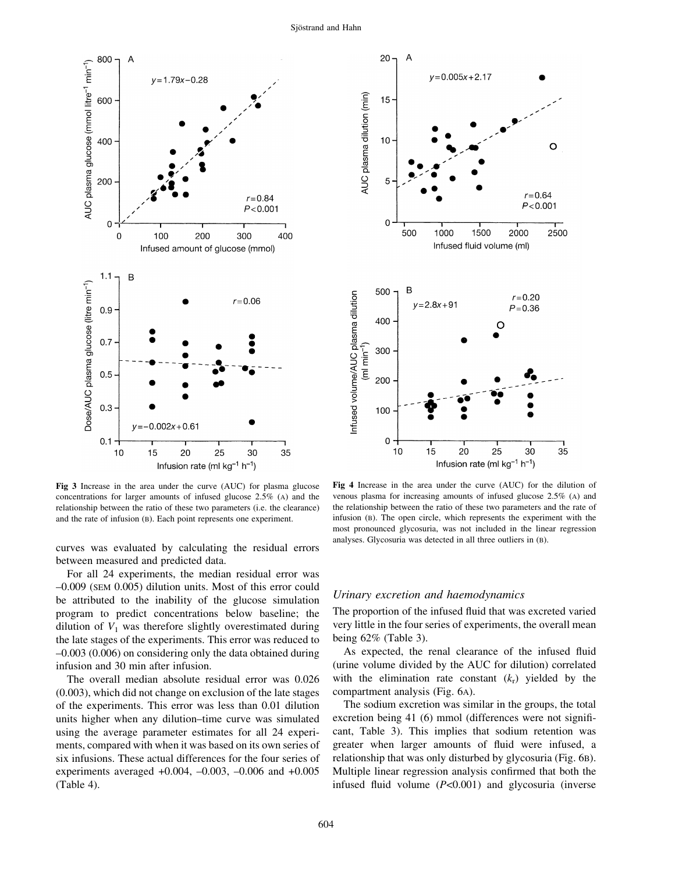



Fig 3 Increase in the area under the curve (AUC) for plasma glucose concentrations for larger amounts of infused glucose 2.5% (A) and the relationship between the ratio of these two parameters (i.e. the clearance) and the rate of infusion (B). Each point represents one experiment.

curves was evaluated by calculating the residual errors between measured and predicted data.

For all 24 experiments, the median residual error was ±0.009 (SEM 0.005) dilution units. Most of this error could be attributed to the inability of the glucose simulation program to predict concentrations below baseline; the dilution of  $V_1$  was therefore slightly overestimated during the late stages of the experiments. This error was reduced to ±0.003 (0.006) on considering only the data obtained during infusion and 30 min after infusion.

The overall median absolute residual error was 0.026 (0.003), which did not change on exclusion of the late stages of the experiments. This error was less than 0.01 dilution units higher when any dilution-time curve was simulated using the average parameter estimates for all 24 experiments, compared with when it was based on its own series of six infusions. These actual differences for the four series of experiments averaged  $+0.004$ ,  $-0.003$ ,  $-0.006$  and  $+0.005$ (Table 4).

Fig 4 Increase in the area under the curve (AUC) for the dilution of venous plasma for increasing amounts of infused glucose 2.5% (A) and the relationship between the ratio of these two parameters and the rate of infusion (B). The open circle, which represents the experiment with the most pronounced glycosuria, was not included in the linear regression analyses. Glycosuria was detected in all three outliers in (B).

#### Urinary excretion and haemodynamics

The proportion of the infused fluid that was excreted varied very little in the four series of experiments, the overall mean being 62% (Table 3).

As expected, the renal clearance of the infused fluid (urine volume divided by the AUC for dilution) correlated with the elimination rate constant  $(k_r)$  yielded by the compartment analysis (Fig. 6A).

The sodium excretion was similar in the groups, the total excretion being  $41$  (6) mmol (differences were not significant, Table 3). This implies that sodium retention was greater when larger amounts of fluid were infused, a relationship that was only disturbed by glycosuria (Fig. 6B). Multiple linear regression analysis confirmed that both the infused fluid volume  $(P<0.001)$  and glycosuria (inverse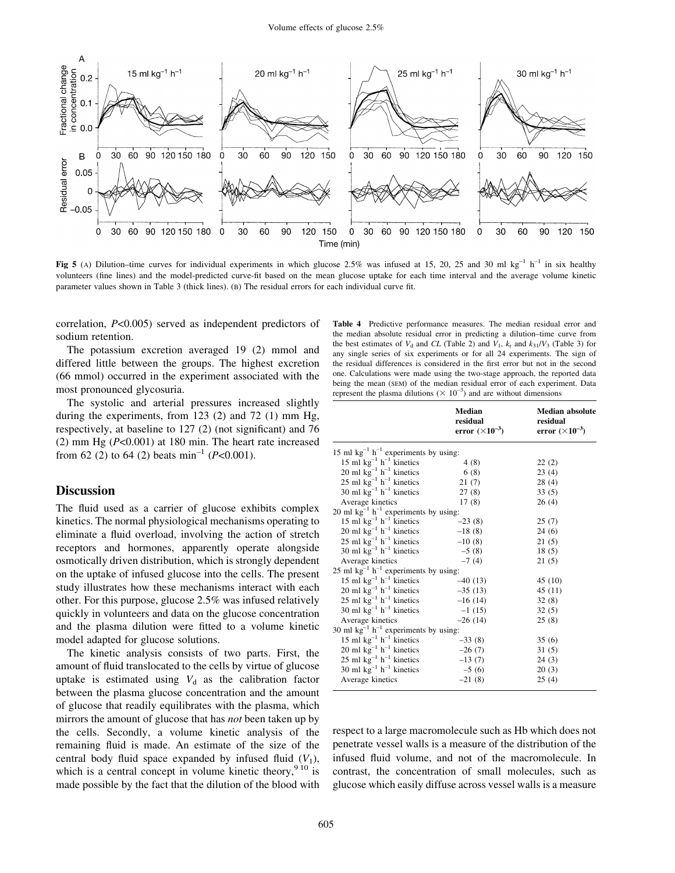

Fig 5 (A) Dilution-time curves for individual experiments in which glucose 2.5% was infused at 15, 20, 25 and 30 ml kg<sup>-1</sup> h<sup>-1</sup> in six healthy volunteers (fine lines) and the model-predicted curve-fit based on the mean glucose uptake for each time interval and the average volume kinetic parameter values shown in Table 3 (thick lines). (B) The residual errors for each individual curve fit.

correlation, P<0.005) served as independent predictors of sodium retention.

The potassium excretion averaged 19 (2) mmol and differed little between the groups. The highest excretion (66 mmol) occurred in the experiment associated with the most pronounced glycosuria.

The systolic and arterial pressures increased slightly during the experiments, from 123  $(2)$  and 72  $(1)$  mm Hg, respectively, at baseline to  $127$  (2) (not significant) and 76 (2) mm Hg  $(P<0.001)$  at 180 min. The heart rate increased from 62 (2) to 64 (2) beats min<sup>-1</sup> ( $P<0.001$ ).

### **Discussion**

The fluid used as a carrier of glucose exhibits complex kinetics. The normal physiological mechanisms operating to eliminate a fluid overload, involving the action of stretch receptors and hormones, apparently operate alongside osmotically driven distribution, which is strongly dependent on the uptake of infused glucose into the cells. The present study illustrates how these mechanisms interact with each other. For this purpose, glucose 2.5% was infused relatively quickly in volunteers and data on the glucose concentration and the plasma dilution were fitted to a volume kinetic model adapted for glucose solutions.

The kinetic analysis consists of two parts. First, the amount of fluid translocated to the cells by virtue of glucose uptake is estimated using  $V<sub>d</sub>$  as the calibration factor between the plasma glucose concentration and the amount of glucose that readily equilibrates with the plasma, which mirrors the amount of glucose that has *not* been taken up by the cells. Secondly, a volume kinetic analysis of the remaining fluid is made. An estimate of the size of the central body fluid space expanded by infused fluid  $(V_1)$ , which is a central concept in volume kinetic theory,  $910$  is made possible by the fact that the dilution of the blood with

Table 4 Predictive performance measures. The median residual error and the median absolute residual error in predicting a dilution-time curve from the best estimates of  $V_d$  and CL (Table 2) and  $V_1$ ,  $k_r$  and  $k_{31}/V_3$  (Table 3) for any single series of six experiments or for all 24 experiments. The sign of the residual differences is considered in the first error but not in the second one. Calculations were made using the two-stage approach, the reported data being the mean (SEM) of the median residual error of each experiment. Data represent the plasma dilutions ( $\times$  10<sup>-3</sup>) and are without dimensions

|                                                              | Median<br>residual<br>error $(\times 10^{-3})$ | <b>Median absolute</b><br>residual<br>error $(\times 10^{-3})$ |  |  |  |
|--------------------------------------------------------------|------------------------------------------------|----------------------------------------------------------------|--|--|--|
| 15 ml $kg^{-1}$ h <sup>-1</sup> experiments by using:        |                                                |                                                                |  |  |  |
| 15 ml $kg^{-1} h^{-1}$ kinetics                              | 4(8)                                           | 22(2)                                                          |  |  |  |
| 20 ml $kg^{-1} h^{-1}$ kinetics                              | 6(8)                                           | 23(4)                                                          |  |  |  |
| 25 ml $kg^{-1} h^{-1}$ kinetics                              | 21(7)                                          | 28(4)                                                          |  |  |  |
| 30 ml $kg^{-1} h^{-1}$ kinetics                              | 27(8)                                          | 33(5)                                                          |  |  |  |
| Average kinetics                                             | 17(8)                                          | 26(4)                                                          |  |  |  |
| 20 ml $\text{kg}^{-1}$ h <sup>-1</sup> experiments by using: |                                                |                                                                |  |  |  |
| 15 ml $kg^{-1} h^{-1}$ kinetics                              | $-23(8)$                                       | 25(7)                                                          |  |  |  |
| 20 ml $kg^{-1}$ $h^{-1}$ kinetics                            | $-18(8)$                                       | 24(6)                                                          |  |  |  |
| 25 ml $kg^{-1}$ $h^{-1}$ kinetics                            | $-10(8)$                                       | 21(5)                                                          |  |  |  |
| 30 ml $kg^{-1}$ $h^{-1}$ kinetics                            | $-5(8)$                                        | 18(5)                                                          |  |  |  |
| Average kinetics                                             | $-7(4)$                                        | 21(5)                                                          |  |  |  |
| 25 ml $\text{kg}^{-1}$ h <sup>-1</sup> experiments by using: |                                                |                                                                |  |  |  |
| 15 ml $kg^{-1} h^{-1}$ kinetics                              | $-40(13)$                                      | 45(10)                                                         |  |  |  |
| 20 ml $kg^{-1}$ $h^{-1}$ kinetics                            | $-35(13)$                                      | 45(11)                                                         |  |  |  |
| 25 ml $kg^{-1} h^{-1}$ kinetics                              | $-16(14)$                                      | 32(8)                                                          |  |  |  |
| 30 ml $kg^{-1}$ h <sup>-1</sup> kinetics                     | $-1(15)$                                       | 32(5)                                                          |  |  |  |
| Average kinetics                                             | $-26(14)$                                      | 25(8)                                                          |  |  |  |
| 30 ml $kg^{-1} h^{-1}$ experiments by using:                 |                                                |                                                                |  |  |  |
| 15 ml $kg^{-1} h^{-1}$ kinetics                              | $-33(8)$                                       | 35(6)                                                          |  |  |  |
| 20 ml $kg^{-1}$ $h^{-1}$ kinetics                            | $-26(7)$                                       | 31(5)                                                          |  |  |  |
| 25 ml $kg^{-1}$ $h^{-1}$ kinetics                            | $-13(7)$                                       | 24(3)                                                          |  |  |  |
| 30 ml $kg^{-1}$ $h^{-1}$ kinetics                            | $-5(6)$                                        | 20(3)                                                          |  |  |  |
| Average kinetics                                             | $-21(8)$                                       | 25(4)                                                          |  |  |  |

respect to a large macromolecule such as Hb which does not penetrate vessel walls is a measure of the distribution of the infused fluid volume, and not of the macromolecule. In contrast, the concentration of small molecules, such as glucose which easily diffuse across vessel walls is a measure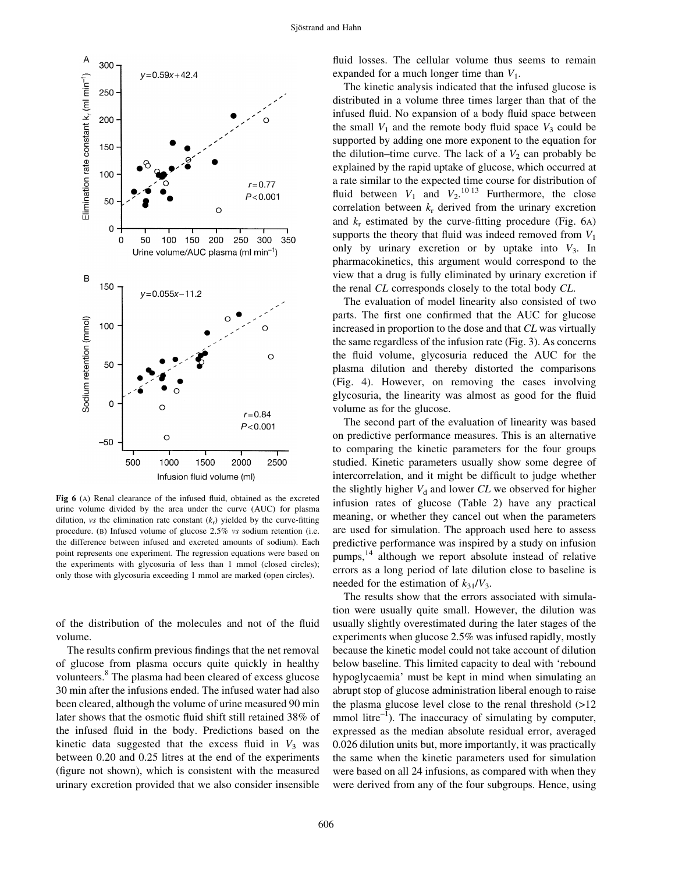

Fig  $6$  (A) Renal clearance of the infused fluid, obtained as the excreted urine volume divided by the area under the curve (AUC) for plasma dilution, vs the elimination rate constant  $(k_r)$  yielded by the curve-fitting procedure. (B) Infused volume of glucose 2.5% vs sodium retention (i.e. the difference between infused and excreted amounts of sodium). Each point represents one experiment. The regression equations were based on the experiments with glycosuria of less than 1 mmol (closed circles); only those with glycosuria exceeding 1 mmol are marked (open circles).

of the distribution of the molecules and not of the fluid volume.

The results confirm previous findings that the net removal of glucose from plasma occurs quite quickly in healthy volunteers.<sup>8</sup> The plasma had been cleared of excess glucose 30 min after the infusions ended. The infused water had also been cleared, although the volume of urine measured 90 min later shows that the osmotic fluid shift still retained 38% of the infused fluid in the body. Predictions based on the kinetic data suggested that the excess fluid in  $V_3$  was between 0.20 and 0.25 litres at the end of the experiments (figure not shown), which is consistent with the measured urinary excretion provided that we also consider insensible

fluid losses. The cellular volume thus seems to remain expanded for a much longer time than  $V_1$ .

The kinetic analysis indicated that the infused glucose is distributed in a volume three times larger than that of the infused fluid. No expansion of a body fluid space between the small  $V_1$  and the remote body fluid space  $V_3$  could be supported by adding one more exponent to the equation for the dilution-time curve. The lack of a  $V_2$  can probably be explained by the rapid uptake of glucose, which occurred at a rate similar to the expected time course for distribution of fluid between  $V_1$  and  $V_2$ .<sup>10 13</sup> Furthermore, the close correlation between  $k_r$  derived from the urinary excretion and  $k_r$  estimated by the curve-fitting procedure (Fig. 6A) supports the theory that fluid was indeed removed from  $V_1$ only by urinary excretion or by uptake into  $V_3$ . In pharmacokinetics, this argument would correspond to the view that a drug is fully eliminated by urinary excretion if the renal CL corresponds closely to the total body CL.

The evaluation of model linearity also consisted of two parts. The first one confirmed that the AUC for glucose increased in proportion to the dose and that CL was virtually the same regardless of the infusion rate (Fig. 3). As concerns the fluid volume, glycosuria reduced the AUC for the plasma dilution and thereby distorted the comparisons (Fig. 4). However, on removing the cases involving glycosuria, the linearity was almost as good for the fluid volume as for the glucose.

The second part of the evaluation of linearity was based on predictive performance measures. This is an alternative to comparing the kinetic parameters for the four groups studied. Kinetic parameters usually show some degree of intercorrelation, and it might be difficult to judge whether the slightly higher  $V_d$  and lower  $CL$  we observed for higher infusion rates of glucose (Table 2) have any practical meaning, or whether they cancel out when the parameters are used for simulation. The approach used here to assess predictive performance was inspired by a study on infusion pumps,<sup>14</sup> although we report absolute instead of relative errors as a long period of late dilution close to baseline is needed for the estimation of  $k_{31}/V_3$ .

The results show that the errors associated with simulation were usually quite small. However, the dilution was usually slightly overestimated during the later stages of the experiments when glucose 2.5% was infused rapidly, mostly because the kinetic model could not take account of dilution below baseline. This limited capacity to deal with `rebound hypoglycaemia' must be kept in mind when simulating an abrupt stop of glucose administration liberal enough to raise the plasma glucose level close to the renal threshold (>12 mmol litre $^{-1}$ ). The inaccuracy of simulating by computer, expressed as the median absolute residual error, averaged 0.026 dilution units but, more importantly, it was practically the same when the kinetic parameters used for simulation were based on all 24 infusions, as compared with when they were derived from any of the four subgroups. Hence, using